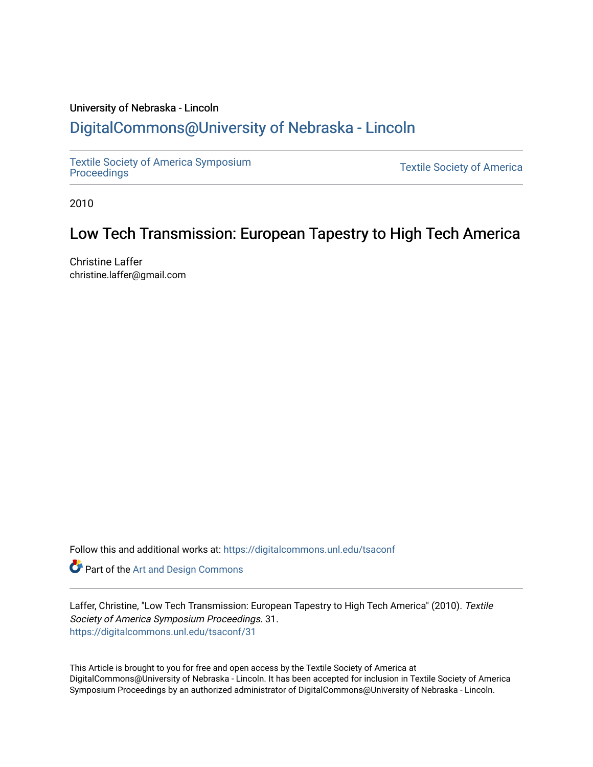## University of Nebraska - Lincoln [DigitalCommons@University of Nebraska - Lincoln](https://digitalcommons.unl.edu/)

[Textile Society of America Symposium](https://digitalcommons.unl.edu/tsaconf) 

**Textile Society of America** 

2010

# Low Tech Transmission: European Tapestry to High Tech America

Christine Laffer christine.laffer@gmail.com

Follow this and additional works at: [https://digitalcommons.unl.edu/tsaconf](https://digitalcommons.unl.edu/tsaconf?utm_source=digitalcommons.unl.edu%2Ftsaconf%2F31&utm_medium=PDF&utm_campaign=PDFCoverPages)

Part of the [Art and Design Commons](http://network.bepress.com/hgg/discipline/1049?utm_source=digitalcommons.unl.edu%2Ftsaconf%2F31&utm_medium=PDF&utm_campaign=PDFCoverPages)

Laffer, Christine, "Low Tech Transmission: European Tapestry to High Tech America" (2010). Textile Society of America Symposium Proceedings. 31. [https://digitalcommons.unl.edu/tsaconf/31](https://digitalcommons.unl.edu/tsaconf/31?utm_source=digitalcommons.unl.edu%2Ftsaconf%2F31&utm_medium=PDF&utm_campaign=PDFCoverPages) 

This Article is brought to you for free and open access by the Textile Society of America at DigitalCommons@University of Nebraska - Lincoln. It has been accepted for inclusion in Textile Society of America Symposium Proceedings by an authorized administrator of DigitalCommons@University of Nebraska - Lincoln.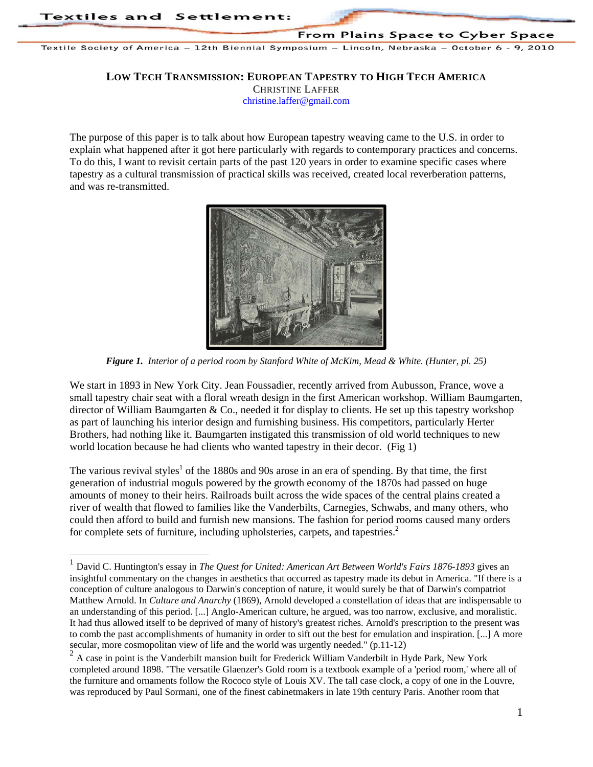$\overline{a}$ 

From Plains Space to Cyber Space

Textile Society of America ~ 12th Biennial Symposium ~ Lincoln, Nebraska ~ October 6 - 9, 2010

#### **LOW TECH TRANSMISSION: EUROPEAN TAPESTRY TO HIGH TECH AMERICA**

CHRISTINE LAFFER

christine.laffer@gmail.com

The purpose of this paper is to talk about how European tapestry weaving came to the U.S. in order to explain what happened after it got here particularly with regards to contemporary practices and concerns. To do this, I want to revisit certain parts of the past 120 years in order to examine specific cases where tapestry as a cultural transmission of practical skills was received, created local reverberation patterns, and was re-transmitted.



*Figure 1. Interior of a period room by Stanford White of McKim, Mead & White. (Hunter, pl. 25)* 

We start in 1893 in New York City. Jean Foussadier, recently arrived from Aubusson, France, wove a small tapestry chair seat with a floral wreath design in the first American workshop. William Baumgarten, director of William Baumgarten & Co., needed it for display to clients. He set up this tapestry workshop as part of launching his interior design and furnishing business. His competitors, particularly Herter Brothers, had nothing like it. Baumgarten instigated this transmission of old world techniques to new world location because he had clients who wanted tapestry in their decor. (Fig 1)

The various revival styles<sup>1</sup> of the 1880s and 90s arose in an era of spending. By that time, the first generation of industrial moguls powered by the growth economy of the 1870s had passed on huge amounts of money to their heirs. Railroads built across the wide spaces of the central plains created a river of wealth that flowed to families like the Vanderbilts, Carnegies, Schwabs, and many others, who could then afford to build and furnish new mansions. The fashion for period rooms caused many orders for complete sets of furniture, including upholsteries, carpets, and tapestries.<sup>2</sup>

<sup>1</sup> David C. Huntington's essay in *The Quest for United: American Art Between World's Fairs 1876-1893* gives an insightful commentary on the changes in aesthetics that occurred as tapestry made its debut in America. "If there is a conception of culture analogous to Darwin's conception of nature, it would surely be that of Darwin's compatriot Matthew Arnold. In *Culture and Anarchy* (1869), Arnold developed a constellation of ideas that are indispensable to an understanding of this period. [...] Anglo-American culture, he argued, was too narrow, exclusive, and moralistic. It had thus allowed itself to be deprived of many of history's greatest riches. Arnold's prescription to the present was to comb the past accomplishments of humanity in order to sift out the best for emulation and inspiration. [...] A more secular, more cosmopolitan view of life and the world was urgently needed." (p.11-12)

<sup>&</sup>lt;sup>2</sup> A case in point is the Vanderbilt mansion built for Frederick William Vanderbilt in Hyde Park, New York completed around 1898. "The versatile Glaenzer's Gold room is a textbook example of a 'period room,' where all of the furniture and ornaments follow the Rococo style of Louis XV. The tall case clock, a copy of one in the Louvre, was reproduced by Paul Sormani, one of the finest cabinetmakers in late 19th century Paris. Another room that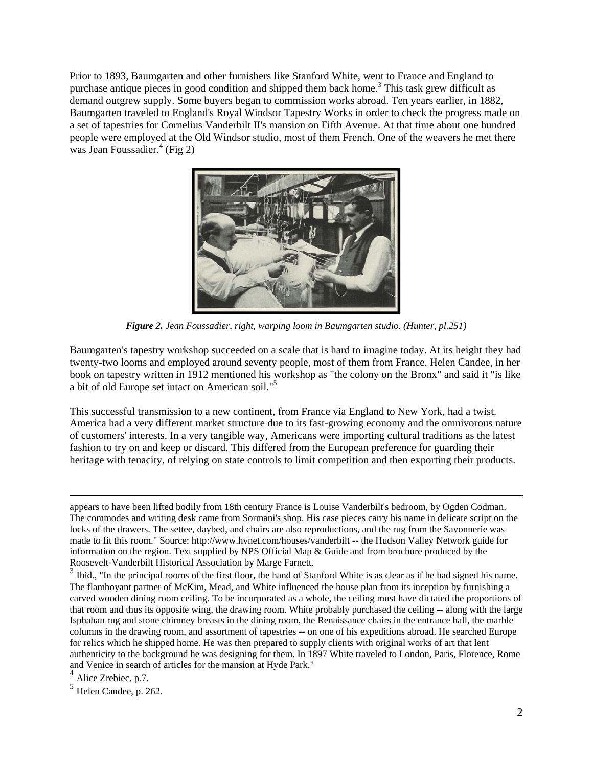Prior to 1893, Baumgarten and other furnishers like Stanford White, went to France and England to purchase antique pieces in good condition and shipped them back home.<sup>3</sup> This task grew difficult as demand outgrew supply. Some buyers began to commission works abroad. Ten years earlier, in 1882, Baumgarten traveled to England's Royal Windsor Tapestry Works in order to check the progress made on a set of tapestries for Cornelius Vanderbilt II's mansion on Fifth Avenue. At that time about one hundred people were employed at the Old Windsor studio, most of them French. One of the weavers he met there was Jean Foussadier.<sup>4</sup> (Fig 2)



*Figure 2. Jean Foussadier, right, warping loom in Baumgarten studio. (Hunter, pl.251)* 

Baumgarten's tapestry workshop succeeded on a scale that is hard to imagine today. At its height they had twenty-two looms and employed around seventy people, most of them from France. Helen Candee, in her book on tapestry written in 1912 mentioned his workshop as "the colony on the Bronx" and said it "is like a bit of old Europe set intact on American soil."5

This successful transmission to a new continent, from France via England to New York, had a twist. America had a very different market structure due to its fast-growing economy and the omnivorous nature of customers' interests. In a very tangible way, Americans were importing cultural traditions as the latest fashion to try on and keep or discard. This differed from the European preference for guarding their heritage with tenacity, of relying on state controls to limit competition and then exporting their products.

 appears to have been lifted bodily from 18th century France is Louise Vanderbilt's bedroom, by Ogden Codman. The commodes and writing desk came from Sormani's shop. His case pieces carry his name in delicate script on the locks of the drawers. The settee, daybed, and chairs are also reproductions, and the rug from the Savonnerie was made to fit this room." Source: http://www.hvnet.com/houses/vanderbilt -- the Hudson Valley Network guide for information on the region. Text supplied by NPS Official Map & Guide and from brochure produced by the Roosevelt-Vanderbilt Historical Association by Marge Farnett.

 $3$  Ibid., "In the principal rooms of the first floor, the hand of Stanford White is as clear as if he had signed his name. The flamboyant partner of McKim, Mead, and White influenced the house plan from its inception by furnishing a carved wooden dining room ceiling. To be incorporated as a whole, the ceiling must have dictated the proportions of that room and thus its opposite wing, the drawing room. White probably purchased the ceiling -- along with the large Isphahan rug and stone chimney breasts in the dining room, the Renaissance chairs in the entrance hall, the marble columns in the drawing room, and assortment of tapestries -- on one of his expeditions abroad. He searched Europe for relics which he shipped home. He was then prepared to supply clients with original works of art that lent authenticity to the background he was designing for them. In 1897 White traveled to London, Paris, Florence, Rome and Venice in search of articles for the mansion at Hyde Park."

<sup>4</sup> Alice Zrebiec, p.7.

 $<sup>5</sup>$  Helen Candee, p. 262.</sup>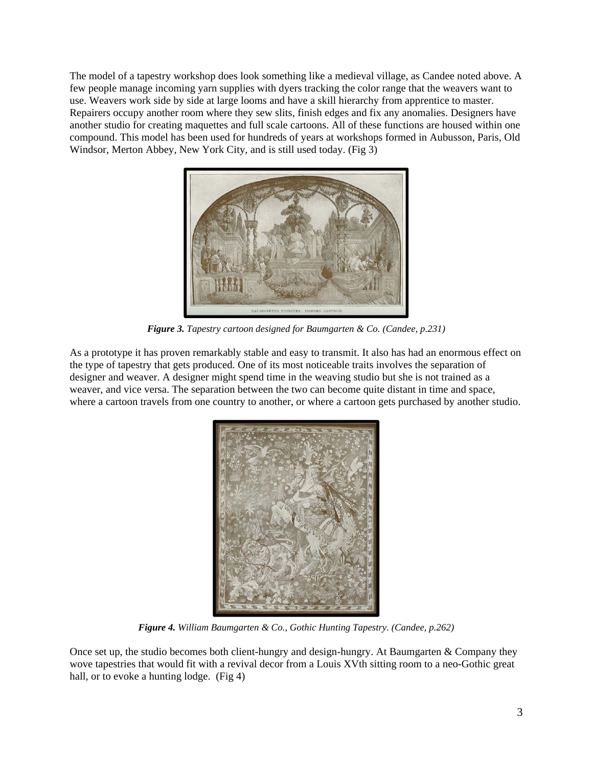The model of a tapestry workshop does look something like a medieval village, as Candee noted above. A few people manage incoming yarn supplies with dyers tracking the color range that the weavers want to use. Weavers work side by side at large looms and have a skill hierarchy from apprentice to master. Repairers occupy another room where they sew slits, finish edges and fix any anomalies. Designers have another studio for creating maquettes and full scale cartoons. All of these functions are housed within one compound. This model has been used for hundreds of years at workshops formed in Aubusson, Paris, Old Windsor, Merton Abbey, New York City, and is still used today. (Fig 3)



*Figure 3. Tapestry cartoon designed for Baumgarten & Co. (Candee, p.231)* 

As a prototype it has proven remarkably stable and easy to transmit. It also has had an enormous effect on the type of tapestry that gets produced. One of its most noticeable traits involves the separation of designer and weaver. A designer might spend time in the weaving studio but she is not trained as a weaver, and vice versa. The separation between the two can become quite distant in time and space, where a cartoon travels from one country to another, or where a cartoon gets purchased by another studio.



*Figure 4. William Baumgarten & Co., Gothic Hunting Tapestry. (Candee, p.262)* 

Once set up, the studio becomes both client-hungry and design-hungry. At Baumgarten & Company they wove tapestries that would fit with a revival decor from a Louis XVth sitting room to a neo-Gothic great hall, or to evoke a hunting lodge. (Fig 4)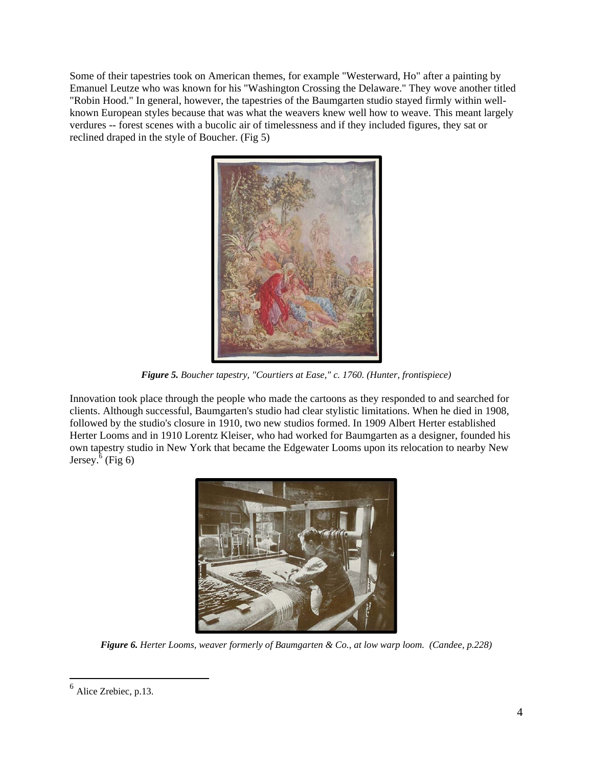Some of their tapestries took on American themes, for example "Westerward, Ho" after a painting by Emanuel Leutze who was known for his "Washington Crossing the Delaware." They wove another titled "Robin Hood." In general, however, the tapestries of the Baumgarten studio stayed firmly within wellknown European styles because that was what the weavers knew well how to weave. This meant largely verdures -- forest scenes with a bucolic air of timelessness and if they included figures, they sat or reclined draped in the style of Boucher. (Fig 5)



*Figure 5. Boucher tapestry, "Courtiers at Ease," c. 1760. (Hunter, frontispiece)* 

Innovation took place through the people who made the cartoons as they responded to and searched for clients. Although successful, Baumgarten's studio had clear stylistic limitations. When he died in 1908, followed by the studio's closure in 1910, two new studios formed. In 1909 Albert Herter established Herter Looms and in 1910 Lorentz Kleiser, who had worked for Baumgarten as a designer, founded his own tapestry studio in New York that became the Edgewater Looms upon its relocation to nearby New Jersey.<sup> $6$ </sup> (Fig 6)



*Figure 6. Herter Looms, weaver formerly of Baumgarten & Co., at low warp loom. (Candee, p.228)* 

 $<sup>6</sup>$  Alice Zrebiec, p.13.</sup>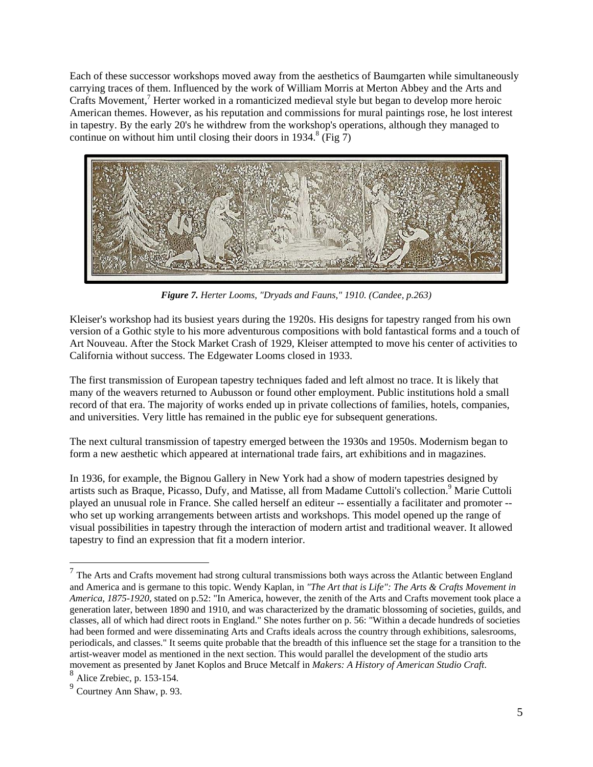Each of these successor workshops moved away from the aesthetics of Baumgarten while simultaneously carrying traces of them. Influenced by the work of William Morris at Merton Abbey and the Arts and Crafts Movement,<sup>7</sup> Herter worked in a romanticized medieval style but began to develop more heroic American themes. However, as his reputation and commissions for mural paintings rose, he lost interest in tapestry. By the early 20's he withdrew from the workshop's operations, although they managed to continue on without him until closing their doors in 1934.<sup>8</sup> (Fig  $\overline{7}$ )



*Figure 7. Herter Looms, "Dryads and Fauns," 1910. (Candee, p.263)* 

Kleiser's workshop had its busiest years during the 1920s. His designs for tapestry ranged from his own version of a Gothic style to his more adventurous compositions with bold fantastical forms and a touch of Art Nouveau. After the Stock Market Crash of 1929, Kleiser attempted to move his center of activities to California without success. The Edgewater Looms closed in 1933.

The first transmission of European tapestry techniques faded and left almost no trace. It is likely that many of the weavers returned to Aubusson or found other employment. Public institutions hold a small record of that era. The majority of works ended up in private collections of families, hotels, companies, and universities. Very little has remained in the public eye for subsequent generations.

The next cultural transmission of tapestry emerged between the 1930s and 1950s. Modernism began to form a new aesthetic which appeared at international trade fairs, art exhibitions and in magazines.

In 1936, for example, the Bignou Gallery in New York had a show of modern tapestries designed by artists such as Braque, Picasso, Dufy, and Matisse, all from Madame Cuttoli's collection.<sup>9</sup> Marie Cuttoli played an unusual role in France. She called herself an editeur -- essentially a facilitater and promoter - who set up working arrangements between artists and workshops. This model opened up the range of visual possibilities in tapestry through the interaction of modern artist and traditional weaver. It allowed tapestry to find an expression that fit a modern interior.

 $<sup>7</sup>$  The Arts and Crafts movement had strong cultural transmissions both ways across the Atlantic between England</sup> and America and is germane to this topic. Wendy Kaplan, in *"The Art that is Life": The Arts & Crafts Movement in America, 1875-1920*, stated on p.52: "In America, however, the zenith of the Arts and Crafts movement took place a generation later, between 1890 and 1910, and was characterized by the dramatic blossoming of societies, guilds, and classes, all of which had direct roots in England." She notes further on p. 56: "Within a decade hundreds of societies had been formed and were disseminating Arts and Crafts ideals across the country through exhibitions, salesrooms, periodicals, and classes." It seems quite probable that the breadth of this influence set the stage for a transition to the artist-weaver model as mentioned in the next section. This would parallel the development of the studio arts movement as presented by Janet Koplos and Bruce Metcalf in *Makers: A History of American Studio Craft*. <sup>8</sup> Alice Zrebiec, p. 153-154.

<sup>9</sup> Courtney Ann Shaw, p. 93.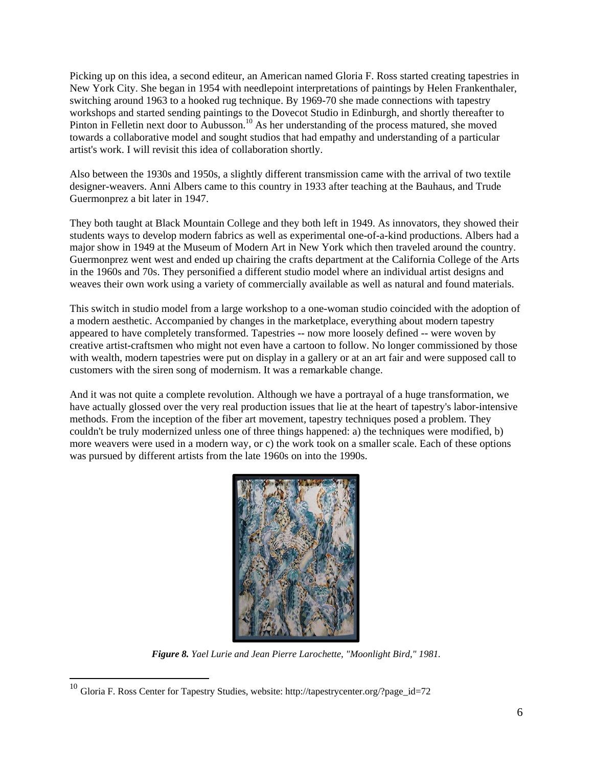Picking up on this idea, a second editeur, an American named Gloria F. Ross started creating tapestries in New York City. She began in 1954 with needlepoint interpretations of paintings by Helen Frankenthaler, switching around 1963 to a hooked rug technique. By 1969-70 she made connections with tapestry workshops and started sending paintings to the Dovecot Studio in Edinburgh, and shortly thereafter to Pinton in Felletin next door to Aubusson.<sup>10</sup> As her understanding of the process matured, she moved towards a collaborative model and sought studios that had empathy and understanding of a particular artist's work. I will revisit this idea of collaboration shortly.

Also between the 1930s and 1950s, a slightly different transmission came with the arrival of two textile designer-weavers. Anni Albers came to this country in 1933 after teaching at the Bauhaus, and Trude Guermonprez a bit later in 1947.

They both taught at Black Mountain College and they both left in 1949. As innovators, they showed their students ways to develop modern fabrics as well as experimental one-of-a-kind productions. Albers had a major show in 1949 at the Museum of Modern Art in New York which then traveled around the country. Guermonprez went west and ended up chairing the crafts department at the California College of the Arts in the 1960s and 70s. They personified a different studio model where an individual artist designs and weaves their own work using a variety of commercially available as well as natural and found materials.

This switch in studio model from a large workshop to a one-woman studio coincided with the adoption of a modern aesthetic. Accompanied by changes in the marketplace, everything about modern tapestry appeared to have completely transformed. Tapestries -- now more loosely defined -- were woven by creative artist-craftsmen who might not even have a cartoon to follow. No longer commissioned by those with wealth, modern tapestries were put on display in a gallery or at an art fair and were supposed call to customers with the siren song of modernism. It was a remarkable change.

And it was not quite a complete revolution. Although we have a portrayal of a huge transformation, we have actually glossed over the very real production issues that lie at the heart of tapestry's labor-intensive methods. From the inception of the fiber art movement, tapestry techniques posed a problem. They couldn't be truly modernized unless one of three things happened: a) the techniques were modified, b) more weavers were used in a modern way, or c) the work took on a smaller scale. Each of these options was pursued by different artists from the late 1960s on into the 1990s.



*Figure 8. Yael Lurie and Jean Pierre Larochette, "Moonlight Bird," 1981.* 

<sup>&</sup>lt;sup>10</sup> Gloria F. Ross Center for Tapestry Studies, website: http://tapestrycenter.org/?page\_id=72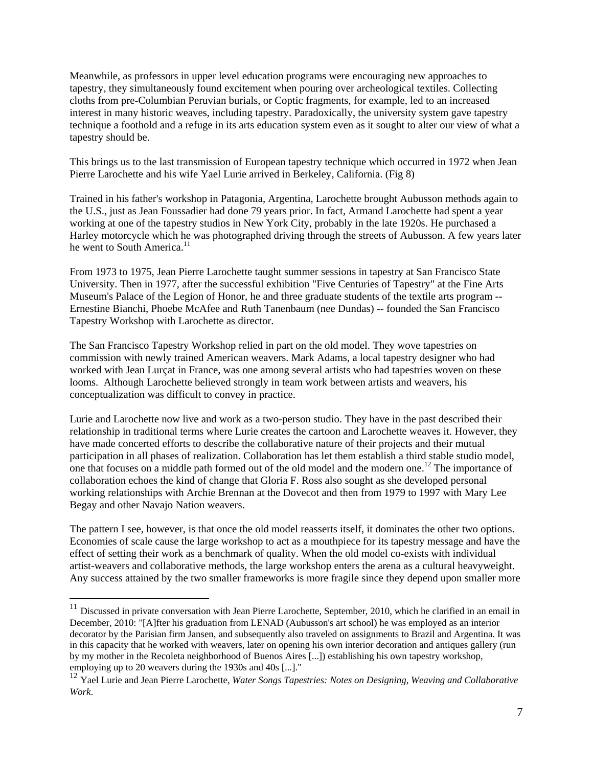Meanwhile, as professors in upper level education programs were encouraging new approaches to tapestry, they simultaneously found excitement when pouring over archeological textiles. Collecting cloths from pre-Columbian Peruvian burials, or Coptic fragments, for example, led to an increased interest in many historic weaves, including tapestry. Paradoxically, the university system gave tapestry technique a foothold and a refuge in its arts education system even as it sought to alter our view of what a tapestry should be.

This brings us to the last transmission of European tapestry technique which occurred in 1972 when Jean Pierre Larochette and his wife Yael Lurie arrived in Berkeley, California. (Fig 8)

Trained in his father's workshop in Patagonia, Argentina, Larochette brought Aubusson methods again to the U.S., just as Jean Foussadier had done 79 years prior. In fact, Armand Larochette had spent a year working at one of the tapestry studios in New York City, probably in the late 1920s. He purchased a Harley motorcycle which he was photographed driving through the streets of Aubusson. A few years later he went to South America.<sup>11</sup>

From 1973 to 1975, Jean Pierre Larochette taught summer sessions in tapestry at San Francisco State University. Then in 1977, after the successful exhibition "Five Centuries of Tapestry" at the Fine Arts Museum's Palace of the Legion of Honor, he and three graduate students of the textile arts program -- Ernestine Bianchi, Phoebe McAfee and Ruth Tanenbaum (nee Dundas) -- founded the San Francisco Tapestry Workshop with Larochette as director.

The San Francisco Tapestry Workshop relied in part on the old model. They wove tapestries on commission with newly trained American weavers. Mark Adams, a local tapestry designer who had worked with Jean Lurçat in France, was one among several artists who had tapestries woven on these looms. Although Larochette believed strongly in team work between artists and weavers, his conceptualization was difficult to convey in practice.

Lurie and Larochette now live and work as a two-person studio. They have in the past described their relationship in traditional terms where Lurie creates the cartoon and Larochette weaves it. However, they have made concerted efforts to describe the collaborative nature of their projects and their mutual participation in all phases of realization. Collaboration has let them establish a third stable studio model, one that focuses on a middle path formed out of the old model and the modern one.<sup>12</sup> The importance of collaboration echoes the kind of change that Gloria F. Ross also sought as she developed personal working relationships with Archie Brennan at the Dovecot and then from 1979 to 1997 with Mary Lee Begay and other Navajo Nation weavers.

The pattern I see, however, is that once the old model reasserts itself, it dominates the other two options. Economies of scale cause the large workshop to act as a mouthpiece for its tapestry message and have the effect of setting their work as a benchmark of quality. When the old model co-exists with individual artist-weavers and collaborative methods, the large workshop enters the arena as a cultural heavyweight. Any success attained by the two smaller frameworks is more fragile since they depend upon smaller more

 $11$  Discussed in private conversation with Jean Pierre Larochette, September, 2010, which he clarified in an email in December, 2010: "[A]fter his graduation from LENAD (Aubusson's art school) he was employed as an interior decorator by the Parisian firm Jansen, and subsequently also traveled on assignments to Brazil and Argentina. It was in this capacity that he worked with weavers, later on opening his own interior decoration and antiques gallery (run by my mother in the Recoleta neighborhood of Buenos Aires [...]) establishing his own tapestry workshop, employing up to 20 weavers during the 1930s and 40s [...]."

<sup>12</sup> Yael Lurie and Jean Pierre Larochette, *Water Songs Tapestries: Notes on Designing, Weaving and Collaborative Work*.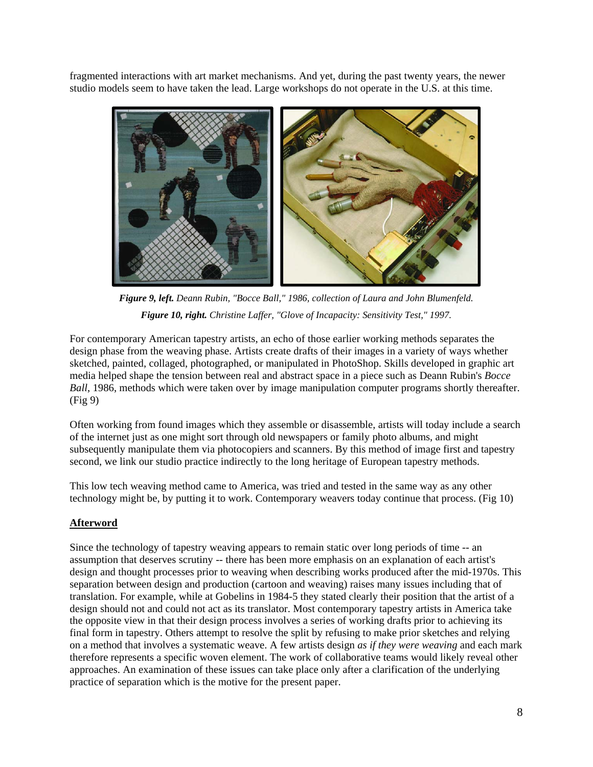fragmented interactions with art market mechanisms. And yet, during the past twenty years, the newer studio models seem to have taken the lead. Large workshops do not operate in the U.S. at this time.



*Figure 9, left. Deann Rubin, "Bocce Ball," 1986, collection of Laura and John Blumenfeld. Figure 10, right. Christine Laffer, "Glove of Incapacity: Sensitivity Test," 1997.* 

For contemporary American tapestry artists, an echo of those earlier working methods separates the design phase from the weaving phase. Artists create drafts of their images in a variety of ways whether sketched, painted, collaged, photographed, or manipulated in PhotoShop. Skills developed in graphic art media helped shape the tension between real and abstract space in a piece such as Deann Rubin's *Bocce Ball*, 1986, methods which were taken over by image manipulation computer programs shortly thereafter. (Fig 9)

Often working from found images which they assemble or disassemble, artists will today include a search of the internet just as one might sort through old newspapers or family photo albums, and might subsequently manipulate them via photocopiers and scanners. By this method of image first and tapestry second, we link our studio practice indirectly to the long heritage of European tapestry methods.

This low tech weaving method came to America, was tried and tested in the same way as any other technology might be, by putting it to work. Contemporary weavers today continue that process. (Fig 10)

### **Afterword**

Since the technology of tapestry weaving appears to remain static over long periods of time -- an assumption that deserves scrutiny -- there has been more emphasis on an explanation of each artist's design and thought processes prior to weaving when describing works produced after the mid-1970s. This separation between design and production (cartoon and weaving) raises many issues including that of translation. For example, while at Gobelins in 1984-5 they stated clearly their position that the artist of a design should not and could not act as its translator. Most contemporary tapestry artists in America take the opposite view in that their design process involves a series of working drafts prior to achieving its final form in tapestry. Others attempt to resolve the split by refusing to make prior sketches and relying on a method that involves a systematic weave. A few artists design *as if they were weaving* and each mark therefore represents a specific woven element. The work of collaborative teams would likely reveal other approaches. An examination of these issues can take place only after a clarification of the underlying practice of separation which is the motive for the present paper.